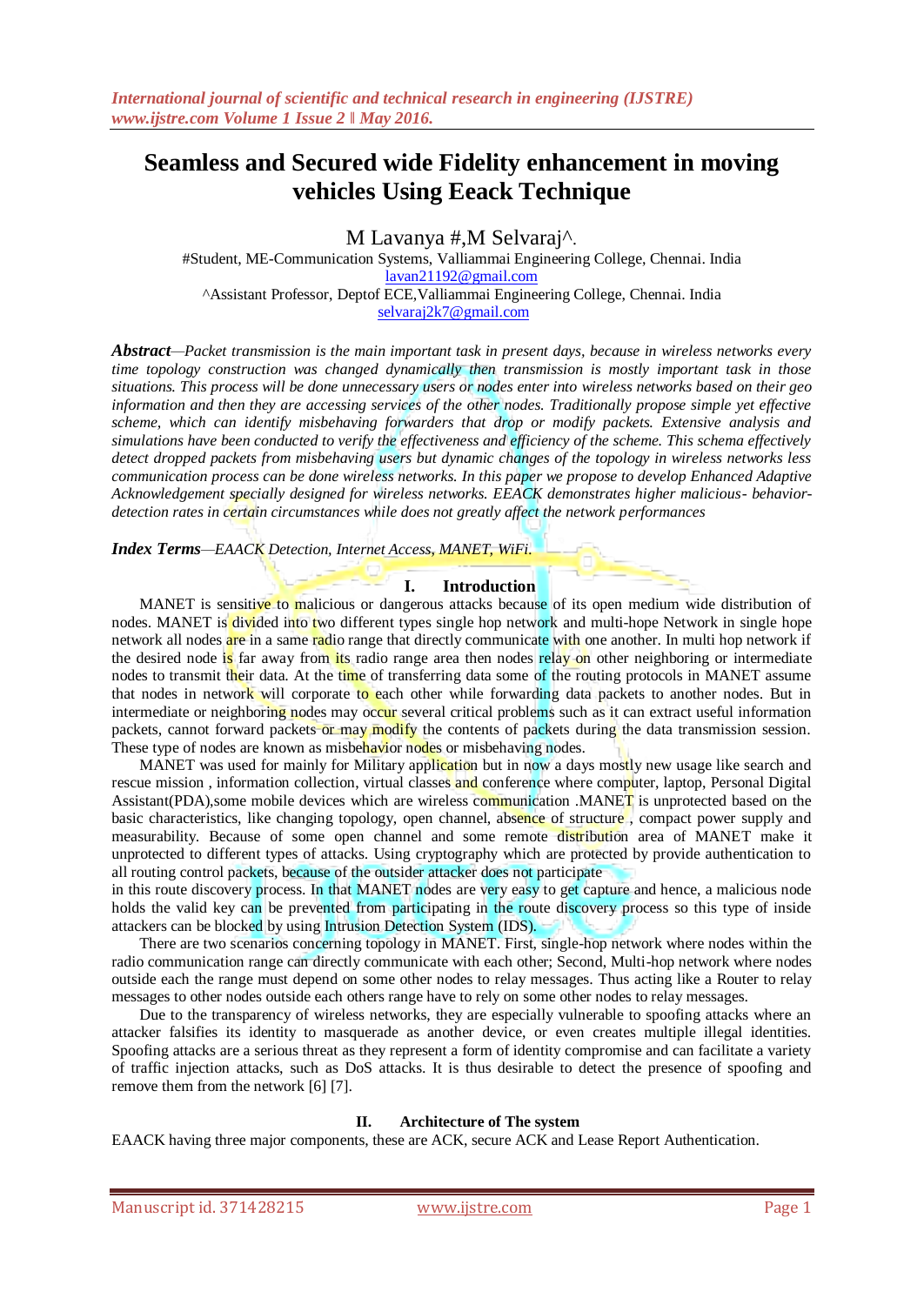# **Seamless and Secured wide Fidelity enhancement in moving vehicles Using Eeack Technique**

M Lavanya #,M Selvaraj^.

#Student, ME-Communication Systems, Valliammai Engineering College, Chennai. India [lavan21192@gmail.com](mailto:lavan21192@gmail.com) ^Assistant Professor, Deptof ECE,Valliammai Engineering College, Chennai. India [selvaraj2k7@gmail.com](mailto:selvaraj2k7@gmail.com)

*Abstract—Packet transmission is the main important task in present days, because in wireless networks every time topology construction was changed dynamically then transmission is mostly important task in those situations. This process will be done unnecessary users or nodes enter into wireless networks based on their geo information and then they are accessing services of the other nodes. Traditionally propose simple yet effective scheme, which can identify misbehaving forwarders that drop or modify packets. Extensive analysis and simulations have been conducted to verify the effectiveness and efficiency of the scheme. This schema effectively detect dropped packets from misbehaving users but dynamic changes of the topology in wireless networks less communication process can be done wireless networks. In this paper we propose to develop Enhanced Adaptive Acknowledgement specially designed for wireless networks. EEACK demonstrates higher malicious- behaviordetection rates in certain circumstances while does not greatly affect the network performances*

*Index Terms—EAACK Detection, Internet Access, MANET, WiFi.*

#### **I. Introduction**

MANET is sensitive to malicious or dangerous attacks because of its open medium wide distribution of nodes. MANET is divided into two different types single hop network and multi-hope Network in single hope network all nodes are in a same radio range that directly communicate with one another. In multi hop network if the desired node is far away from its radio range area then nodes relay on other neighboring or intermediate nodes to transmit their data. At the time of transferring data some of the routing protocols in MANET assume that nodes in network will corporate to each other while forwarding data packets to another nodes. But in intermediate or neighboring nodes may occur several critical problems such as it can extract useful information packets, cannot forward packets or may modify the contents of packets during the data transmission session. These type of nodes are known as misbehavior nodes or misbehaving nodes.

MANET was used for mainly for Military application but in now a days mostly new usage like search and rescue mission, information collection, virtual classes and conference where computer, laptop, Personal Digital Assistant(PDA),some mobile devices which are wireless communication .MANET is unprotected based on the basic characteristics, like changing topology, open channel, absence of structure , compact power supply and measurability. Because of some open channel and some remote distribution area of MANET make it unprotected to different types of attacks. Using cryptography which are protected by provide authentication to all routing control packets, because of the outsider attacker does not participate

in this route discovery process. In that MANET nodes are very easy to get capture and hence, a malicious node holds the valid key can be prevented from participating in the route discovery process so this type of inside attackers can be blocked by using Intrusion Detection System (IDS).

There are two scenarios concerning topology in MANET. First, single-hop network where nodes within the radio communication range can directly communicate with each other; Second, Multi-hop network where nodes outside each the range must depend on some other nodes to relay messages. Thus acting like a Router to relay messages to other nodes outside each others range have to rely on some other nodes to relay messages.

Due to the transparency of wireless networks, they are especially vulnerable to spoofing attacks where an attacker falsifies its identity to masquerade as another device, or even creates multiple illegal identities. Spoofing attacks are a serious threat as they represent a form of identity compromise and can facilitate a variety of traffic injection attacks, such as DoS attacks. It is thus desirable to detect the presence of spoofing and remove them from the network [6] [7].

#### **II. Architecture of The system**

EAACK having three major components, these are ACK, secure ACK and Lease Report Authentication.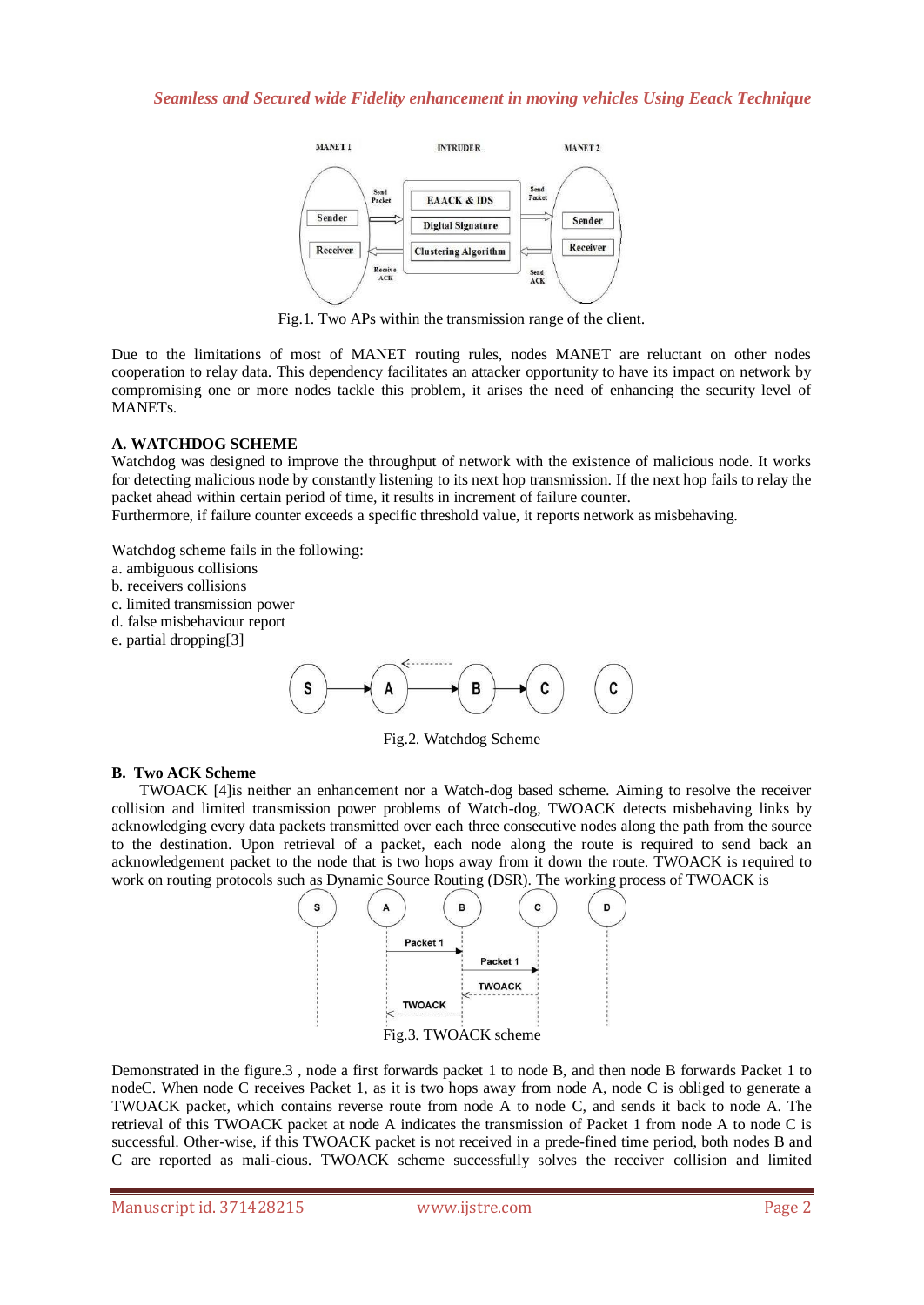

Fig.1. Two APs within the transmission range of the client.

Due to the limitations of most of MANET routing rules, nodes MANET are reluctant on other nodes cooperation to relay data. This dependency facilitates an attacker opportunity to have its impact on network by compromising one or more nodes tackle this problem, it arises the need of enhancing the security level of MANETs.

## **A. WATCHDOG SCHEME**

Watchdog was designed to improve the throughput of network with the existence of malicious node. It works for detecting malicious node by constantly listening to its next hop transmission. If the next hop fails to relay the packet ahead within certain period of time, it results in increment of failure counter.

Furthermore, if failure counter exceeds a specific threshold value, it reports network as misbehaving.

Watchdog scheme fails in the following:

- a. ambiguous collisions
- b. receivers collisions
- c. limited transmission power
- d. false misbehaviour report
- e. partial dropping[3]



Fig.2. Watchdog Scheme

## **B. Two ACK Scheme**

TWOACK [4]is neither an enhancement nor a Watch-dog based scheme. Aiming to resolve the receiver collision and limited transmission power problems of Watch-dog, TWOACK detects misbehaving links by acknowledging every data packets transmitted over each three consecutive nodes along the path from the source to the destination. Upon retrieval of a packet, each node along the route is required to send back an acknowledgement packet to the node that is two hops away from it down the route. TWOACK is required to work on routing protocols such as Dynamic Source Routing (DSR). The working process of TWOACK is



Demonstrated in the figure.3 , node a first forwards packet 1 to node B, and then node B forwards Packet 1 to nodeC. When node C receives Packet 1, as it is two hops away from node A, node C is obliged to generate a TWOACK packet, which contains reverse route from node A to node C, and sends it back to node A. The retrieval of this TWOACK packet at node A indicates the transmission of Packet 1 from node A to node C is successful. Other-wise, if this TWOACK packet is not received in a prede-fined time period, both nodes B and C are reported as mali-cious. TWOACK scheme successfully solves the receiver collision and limited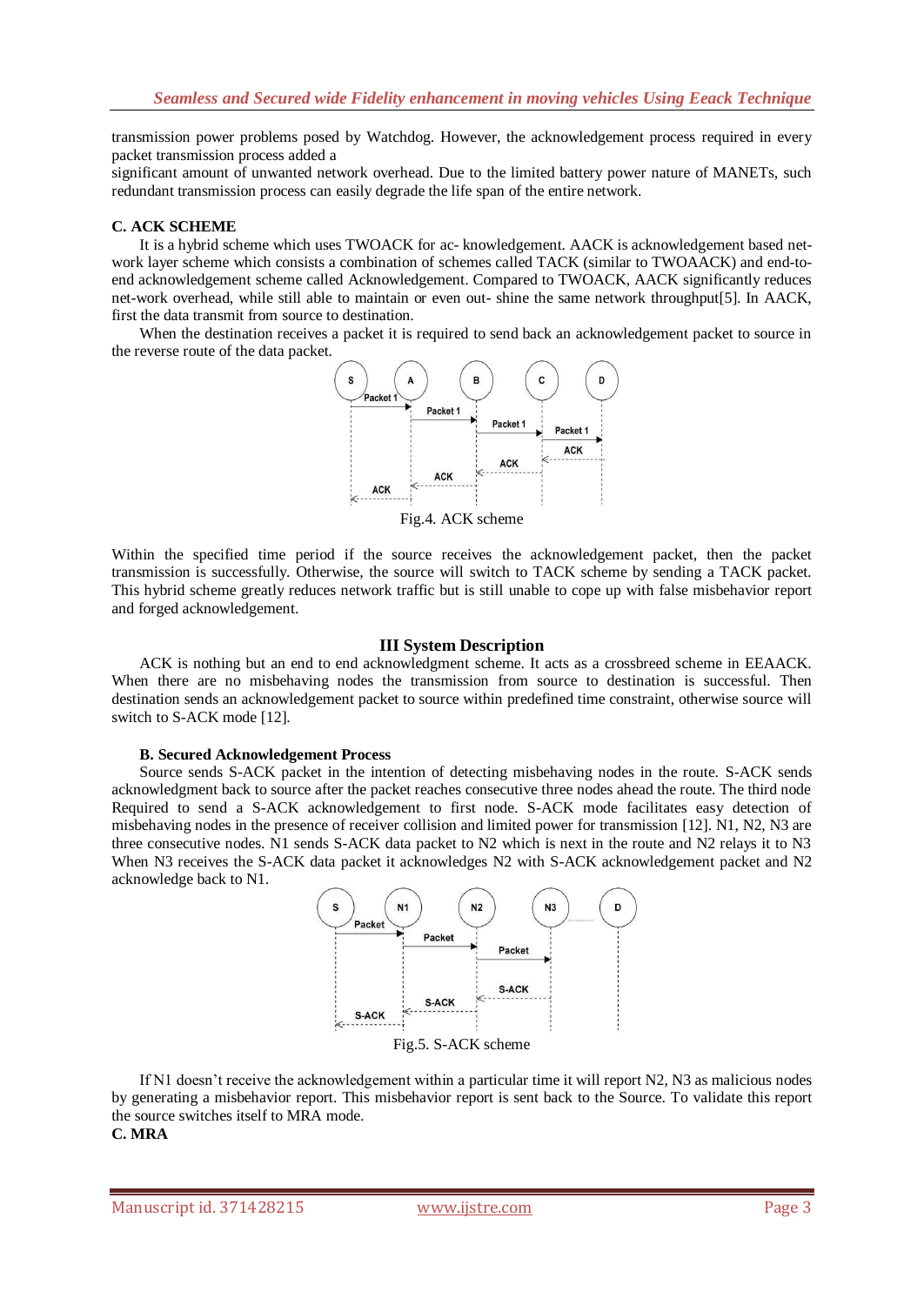transmission power problems posed by Watchdog. However, the acknowledgement process required in every packet transmission process added a

significant amount of unwanted network overhead. Due to the limited battery power nature of MANETs, such redundant transmission process can easily degrade the life span of the entire network.

#### **C. ACK SCHEME**

It is a hybrid scheme which uses TWOACK for ac- knowledgement. AACK is acknowledgement based network layer scheme which consists a combination of schemes called TACK (similar to TWOAACK) and end-toend acknowledgement scheme called Acknowledgement. Compared to TWOACK, AACK significantly reduces net-work overhead, while still able to maintain or even out- shine the same network throughput[5]. In AACK, first the data transmit from source to destination.

When the destination receives a packet it is required to send back an acknowledgement packet to source in the reverse route of the data packet.



Fig.4. ACK scheme

Within the specified time period if the source receives the acknowledgement packet, then the packet transmission is successfully. Otherwise, the source will switch to TACK scheme by sending a TACK packet. This hybrid scheme greatly reduces network traffic but is still unable to cope up with false misbehavior report and forged acknowledgement.

#### **III System Description**

ACK is nothing but an end to end acknowledgment scheme. It acts as a crossbreed scheme in EEAACK. When there are no misbehaving nodes the transmission from source to destination is successful. Then destination sends an acknowledgement packet to source within predefined time constraint, otherwise source will switch to S-ACK mode [12].

#### **B. Secured Acknowledgement Process**

Source sends S-ACK packet in the intention of detecting misbehaving nodes in the route. S-ACK sends acknowledgment back to source after the packet reaches consecutive three nodes ahead the route. The third node Required to send a S-ACK acknowledgement to first node. S-ACK mode facilitates easy detection of misbehaving nodes in the presence of receiver collision and limited power for transmission [12]. N1, N2, N3 are three consecutive nodes. N1 sends S-ACK data packet to N2 which is next in the route and N2 relays it to N3 When N3 receives the S-ACK data packet it acknowledges N2 with S-ACK acknowledgement packet and N2 acknowledge back to N1.



If N1 doesn"t receive the acknowledgement within a particular time it will report N2, N3 as malicious nodes by generating a misbehavior report. This misbehavior report is sent back to the Source. To validate this report the source switches itself to MRA mode.

#### **C. MRA**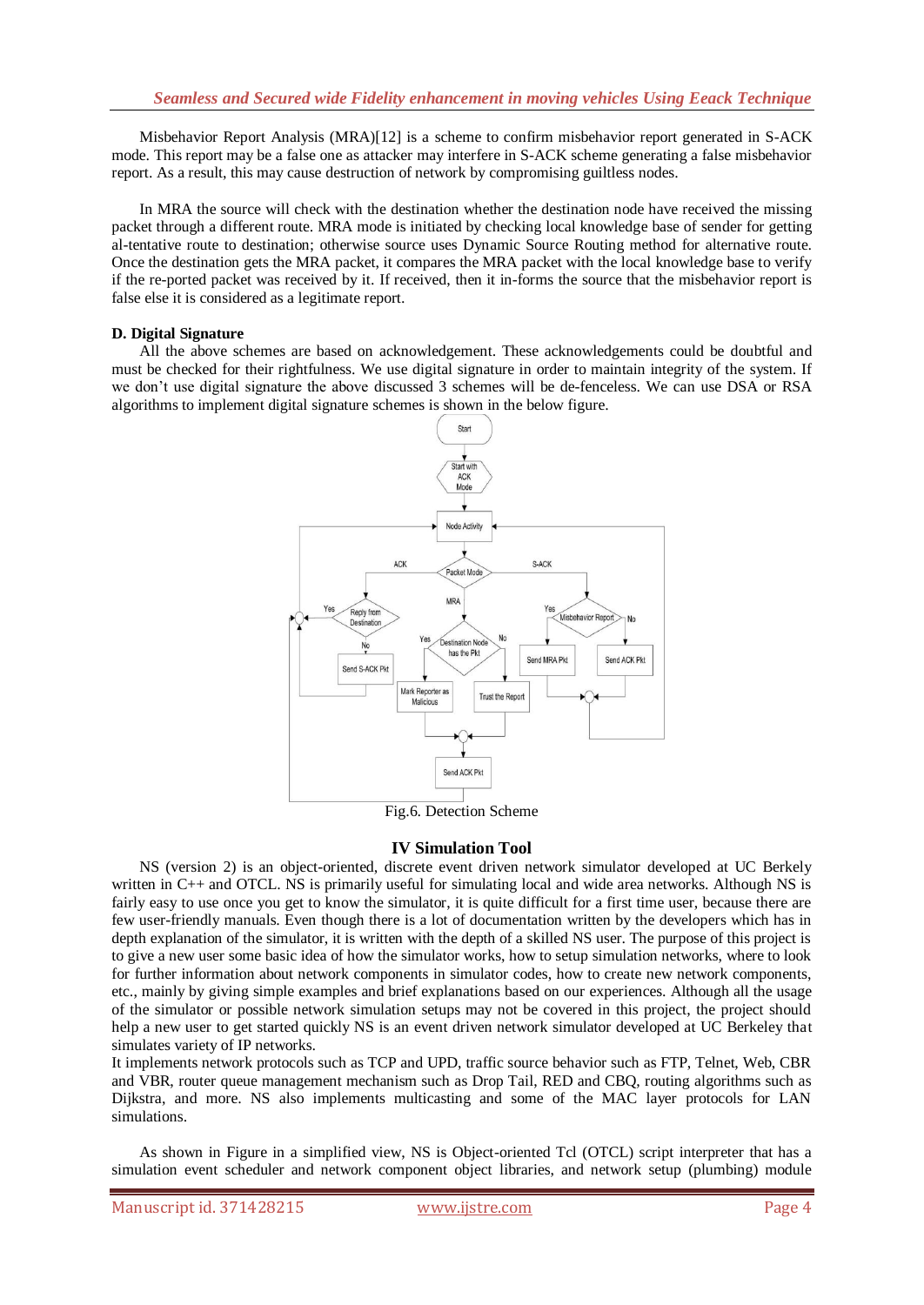Misbehavior Report Analysis (MRA)[12] is a scheme to confirm misbehavior report generated in S-ACK mode. This report may be a false one as attacker may interfere in S-ACK scheme generating a false misbehavior report. As a result, this may cause destruction of network by compromising guiltless nodes.

In MRA the source will check with the destination whether the destination node have received the missing packet through a different route. MRA mode is initiated by checking local knowledge base of sender for getting al-tentative route to destination; otherwise source uses Dynamic Source Routing method for alternative route. Once the destination gets the MRA packet, it compares the MRA packet with the local knowledge base to verify if the re-ported packet was received by it. If received, then it in-forms the source that the misbehavior report is false else it is considered as a legitimate report.

#### **D. Digital Signature**

All the above schemes are based on acknowledgement. These acknowledgements could be doubtful and must be checked for their rightfulness. We use digital signature in order to maintain integrity of the system. If we don"t use digital signature the above discussed 3 schemes will be de-fenceless. We can use DSA or RSA algorithms to implement digital signature schemes is shown in the below figure.



Fig.6. Detection Scheme

## **IV Simulation Tool**

NS (version 2) is an object-oriented, discrete event driven network simulator developed at UC Berkely written in C++ and OTCL. NS is primarily useful for simulating local and wide area networks. Although NS is fairly easy to use once you get to know the simulator, it is quite difficult for a first time user, because there are few user-friendly manuals. Even though there is a lot of documentation written by the developers which has in depth explanation of the simulator, it is written with the depth of a skilled NS user. The purpose of this project is to give a new user some basic idea of how the simulator works, how to setup simulation networks, where to look for further information about network components in simulator codes, how to create new network components, etc., mainly by giving simple examples and brief explanations based on our experiences. Although all the usage of the simulator or possible network simulation setups may not be covered in this project, the project should help a new user to get started quickly NS is an event driven network simulator developed at UC Berkeley that simulates variety of IP networks.

It implements network protocols such as TCP and UPD, traffic source behavior such as FTP, Telnet, Web, CBR and VBR, router queue management mechanism such as Drop Tail, RED and CBQ, routing algorithms such as Dijkstra, and more. NS also implements multicasting and some of the MAC layer protocols for LAN simulations.

As shown in Figure in a simplified view, NS is Object-oriented Tcl (OTCL) script interpreter that has a simulation event scheduler and network component object libraries, and network setup (plumbing) module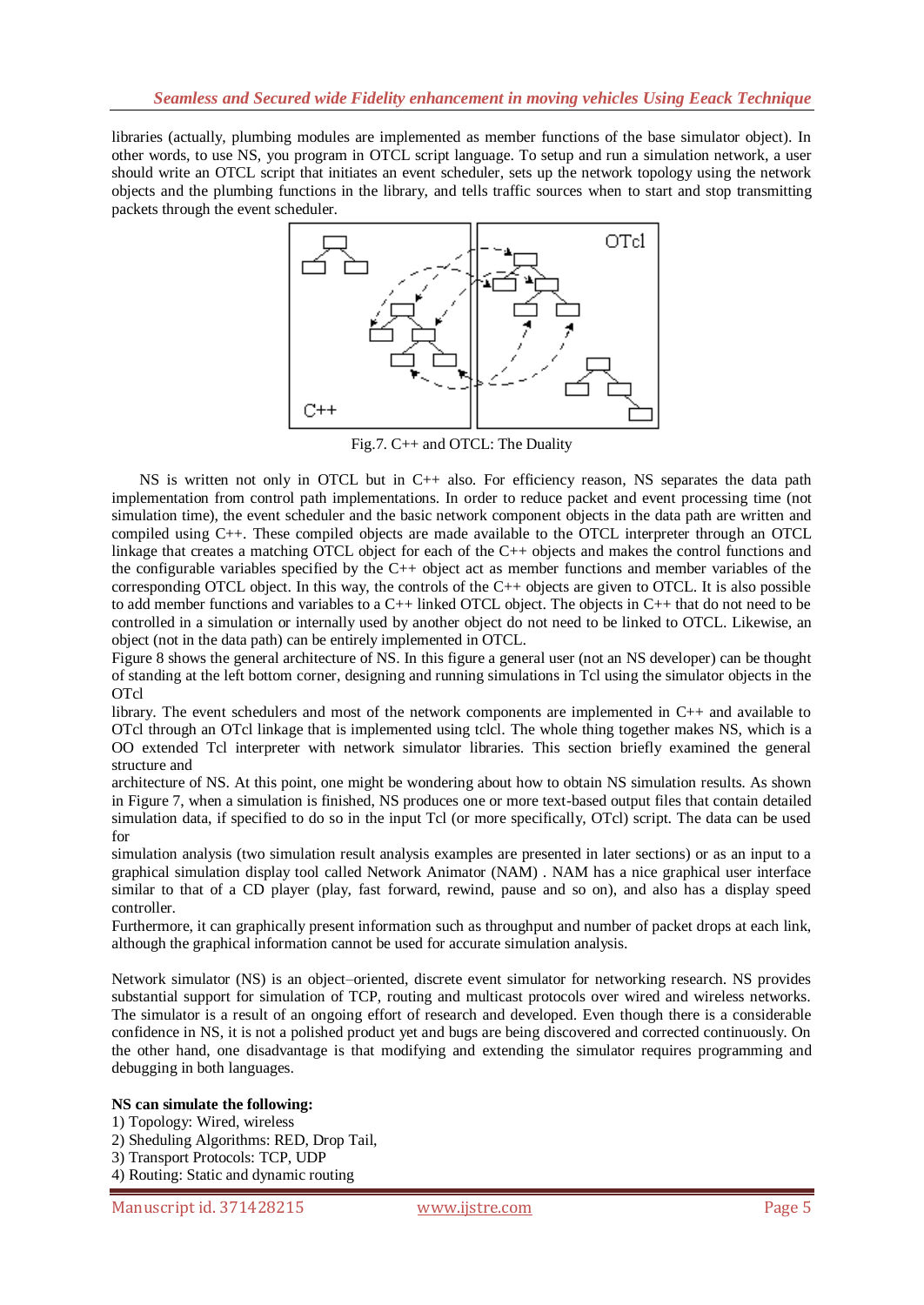libraries (actually, plumbing modules are implemented as member functions of the base simulator object). In other words, to use NS, you program in OTCL script language. To setup and run a simulation network, a user should write an OTCL script that initiates an event scheduler, sets up the network topology using the network objects and the plumbing functions in the library, and tells traffic sources when to start and stop transmitting packets through the event scheduler.



Fig.7. C++ and OTCL: The Duality

NS is written not only in OTCL but in C++ also. For efficiency reason, NS separates the data path implementation from control path implementations. In order to reduce packet and event processing time (not simulation time), the event scheduler and the basic network component objects in the data path are written and compiled using C++. These compiled objects are made available to the OTCL interpreter through an OTCL linkage that creates a matching OTCL object for each of the C++ objects and makes the control functions and the configurable variables specified by the C++ object act as member functions and member variables of the corresponding OTCL object. In this way, the controls of the C++ objects are given to OTCL. It is also possible to add member functions and variables to a C++ linked OTCL object. The objects in C++ that do not need to be controlled in a simulation or internally used by another object do not need to be linked to OTCL. Likewise, an object (not in the data path) can be entirely implemented in OTCL.

Figure 8 shows the general architecture of NS. In this figure a general user (not an NS developer) can be thought of standing at the left bottom corner, designing and running simulations in Tcl using the simulator objects in the OTcl

library. The event schedulers and most of the network components are implemented in C++ and available to OTcl through an OTcl linkage that is implemented using tclcl. The whole thing together makes NS, which is a OO extended Tcl interpreter with network simulator libraries. This section briefly examined the general structure and

architecture of NS. At this point, one might be wondering about how to obtain NS simulation results. As shown in Figure 7, when a simulation is finished, NS produces one or more text-based output files that contain detailed simulation data, if specified to do so in the input Tcl (or more specifically, OTcl) script. The data can be used for

simulation analysis (two simulation result analysis examples are presented in later sections) or as an input to a graphical simulation display tool called Network Animator (NAM) . NAM has a nice graphical user interface similar to that of a CD player (play, fast forward, rewind, pause and so on), and also has a display speed controller.

Furthermore, it can graphically present information such as throughput and number of packet drops at each link, although the graphical information cannot be used for accurate simulation analysis.

Network simulator (NS) is an object–oriented, discrete event simulator for networking research. NS provides substantial support for simulation of TCP, routing and multicast protocols over wired and wireless networks. The simulator is a result of an ongoing effort of research and developed. Even though there is a considerable confidence in NS, it is not a polished product yet and bugs are being discovered and corrected continuously. On the other hand, one disadvantage is that modifying and extending the simulator requires programming and debugging in both languages.

#### **NS can simulate the following:**

1) Topology: Wired, wireless

2) Sheduling Algorithms: RED, Drop Tail,

- 3) Transport Protocols: TCP, UDP
- 4) Routing: Static and dynamic routing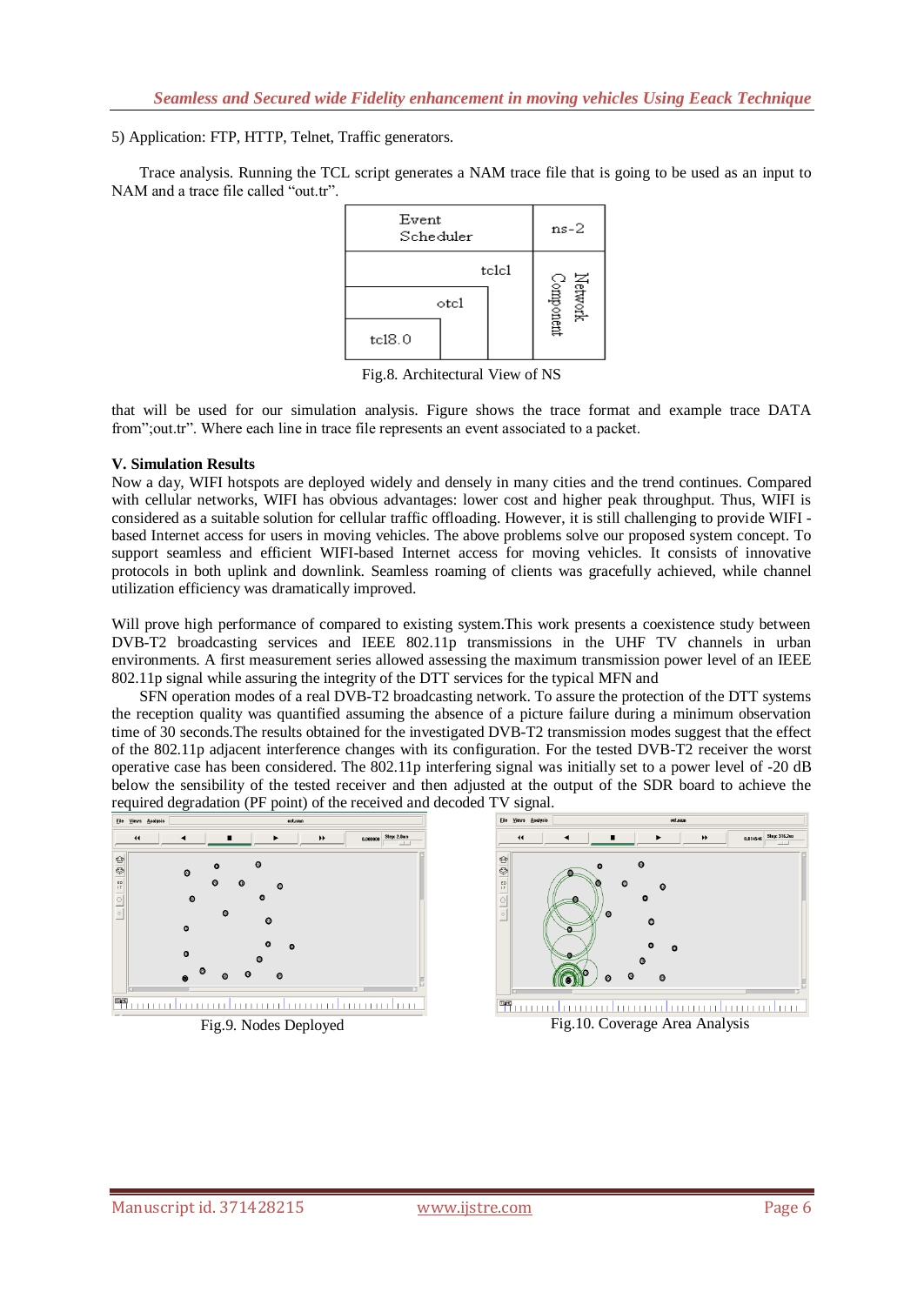5) Application: FTP, HTTP, Telnet, Traffic generators.

Trace analysis. Running the TCL script generates a NAM trace file that is going to be used as an input to NAM and a trace file called "out.tr".

| Event<br>Scheduler      | $ns-2$                               |
|-------------------------|--------------------------------------|
| telel<br>otc1<br>tc18.0 | Network $\label{eq:1} \text{Center}$ |

Fig.8. Architectural View of NS

that will be used for our simulation analysis. Figure shows the trace format and example trace DATA from"; out.tr". Where each line in trace file represents an event associated to a packet.

#### **V. Simulation Results**

Now a day, WIFI hotspots are deployed widely and densely in many cities and the trend continues. Compared with cellular networks, WIFI has obvious advantages: lower cost and higher peak throughput. Thus, WIFI is considered as a suitable solution for cellular traffic offloading. However, it is still challenging to provide WIFI based Internet access for users in moving vehicles. The above problems solve our proposed system concept. To support seamless and efficient WIFI-based Internet access for moving vehicles. It consists of innovative protocols in both uplink and downlink. Seamless roaming of clients was gracefully achieved, while channel utilization efficiency was dramatically improved.

Will prove high performance of compared to existing system. This work presents a coexistence study between DVB-T2 broadcasting services and IEEE 802.11p transmissions in the UHF TV channels in urban environments. A first measurement series allowed assessing the maximum transmission power level of an IEEE 802.11p signal while assuring the integrity of the DTT services for the typical MFN and

SFN operation modes of a real DVB-T2 broadcasting network. To assure the protection of the DTT systems the reception quality was quantified assuming the absence of a picture failure during a minimum observation time of 30 seconds.The results obtained for the investigated DVB-T2 transmission modes suggest that the effect of the 802.11p adjacent interference changes with its configuration. For the tested DVB-T2 receiver the worst operative case has been considered. The 802.11p interfering signal was initially set to a power level of -20 dB below the sensibility of the tested receiver and then adjusted at the output of the SDR board to achieve the required degradation (PF point) of the received and decoded TV signal.





**塑**mundumundumundumundumundun Fig.9. Nodes Deployed Fig.10. Coverage Area Analysis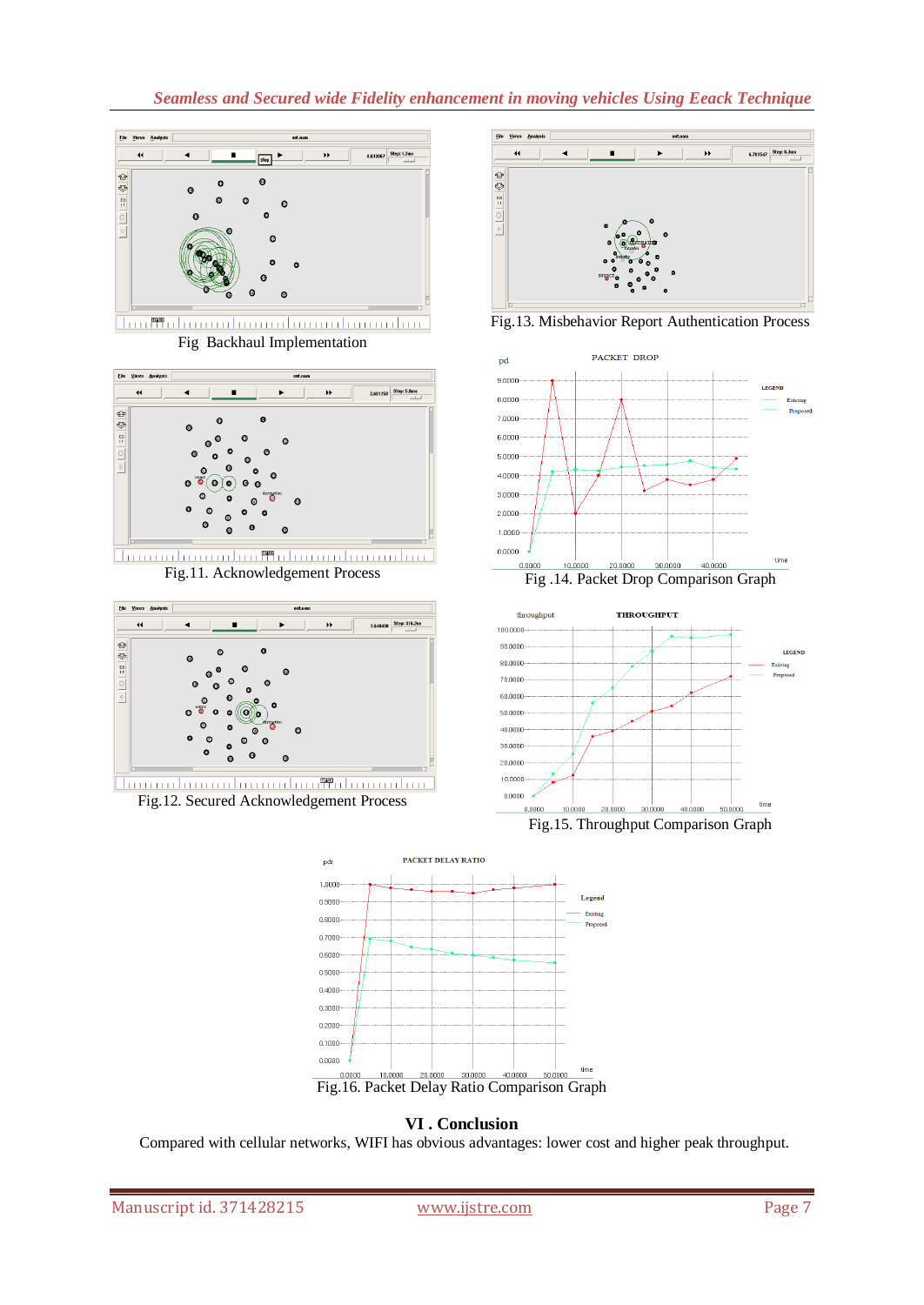## *Seamless and Secured wide Fidelity enhancement in moving vehicles Using Eeack Technique*



Fig Backhaul Implementation



<u> Tournalmandan Malanmalmandan</u> Fig.11. Acknowledgement Process



Fig.12. Secured Acknowledgement Process



Fig.13. Misbehavior Report Authentication Process



Fig .14. Packet Drop Comparison Graph



Fig.15. Throughput Comparison Graph



**VI . Conclusion**

Compared with cellular networks, WIFI has obvious advantages: lower cost and higher peak throughput.